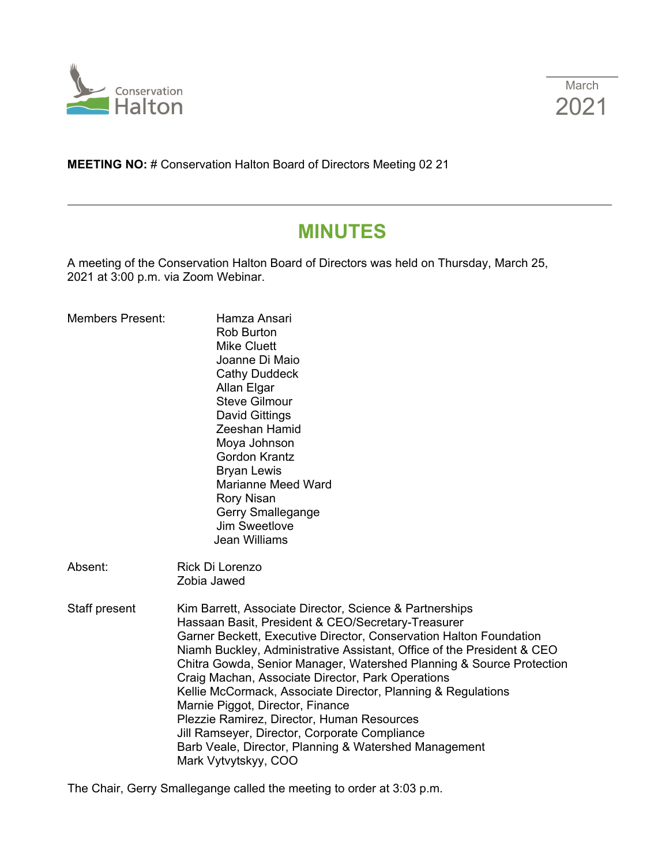



**MEETING NO:** # Conservation Halton Board of Directors Meeting 02 21

# **MINUTES**

A meeting of the Conservation Halton Board of Directors was held on Thursday, March 25, 2021 at 3:00 p.m. via Zoom Webinar.

| <b>Members Present:</b> | Hamza Ansari<br><b>Rob Burton</b><br><b>Mike Cluett</b><br>Joanne Di Maio<br><b>Cathy Duddeck</b><br>Allan Elgar<br><b>Steve Gilmour</b><br><b>David Gittings</b><br>Zeeshan Hamid<br>Moya Johnson<br><b>Gordon Krantz</b><br><b>Bryan Lewis</b><br><b>Marianne Meed Ward</b><br><b>Rory Nisan</b><br>Gerry Smallegange<br>Jim Sweetlove<br><b>Jean Williams</b>                                                                                                                                                                                                                                                                                                               |
|-------------------------|--------------------------------------------------------------------------------------------------------------------------------------------------------------------------------------------------------------------------------------------------------------------------------------------------------------------------------------------------------------------------------------------------------------------------------------------------------------------------------------------------------------------------------------------------------------------------------------------------------------------------------------------------------------------------------|
| Absent:                 | Rick Di Lorenzo<br>Zobia Jawed                                                                                                                                                                                                                                                                                                                                                                                                                                                                                                                                                                                                                                                 |
| Staff present           | Kim Barrett, Associate Director, Science & Partnerships<br>Hassaan Basit, President & CEO/Secretary-Treasurer<br>Garner Beckett, Executive Director, Conservation Halton Foundation<br>Niamh Buckley, Administrative Assistant, Office of the President & CEO<br>Chitra Gowda, Senior Manager, Watershed Planning & Source Protection<br>Craig Machan, Associate Director, Park Operations<br>Kellie McCormack, Associate Director, Planning & Regulations<br>Marnie Piggot, Director, Finance<br>Plezzie Ramirez, Director, Human Resources<br>Jill Ramseyer, Director, Corporate Compliance<br>Barb Veale, Director, Planning & Watershed Management<br>Mark Vytvytskyy, COO |

The Chair, Gerry Smallegange called the meeting to order at 3:03 p.m.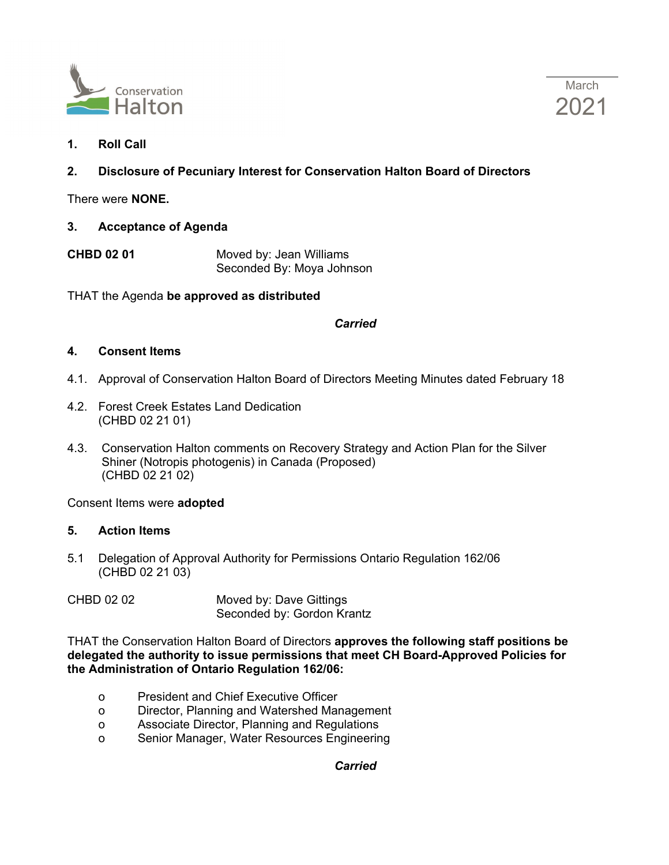



**1. Roll Call**

# **2. Disclosure of Pecuniary Interest for Conservation Halton Board of Directors**

There were **NONE.**

- **3. Acceptance of Agenda**
- **CHBD 02 01** Moved by: Jean Williams Seconded By: Moya Johnson

THAT the Agenda **be approved as distributed**

#### *Carried*

#### **4. Consent Items**

- 4.1. Approval of Conservation Halton Board of Directors Meeting Minutes dated February 18
- 4.2. Forest Creek Estates Land Dedication (CHBD 02 21 01)
- 4.3. Conservation Halton comments on Recovery Strategy and Action Plan for the Silver Shiner (Notropis photogenis) in Canada (Proposed) (CHBD 02 21 02)

Consent Items were **adopted**

#### **5. Action Items**

- 5.1 Delegation of Approval Authority for Permissions Ontario Regulation 162/06 (CHBD 02 21 03)
- CHBD 02 02 Moved by: Dave Gittings Seconded by: Gordon Krantz

THAT the Conservation Halton Board of Directors **approves the following staff positions be delegated the authority to issue permissions that meet CH Board-Approved Policies for the Administration of Ontario Regulation 162/06:**

- o President and Chief Executive Officer
- o Director, Planning and Watershed Management
- o Associate Director, Planning and Regulations
- o Senior Manager, Water Resources Engineering

## *Carried*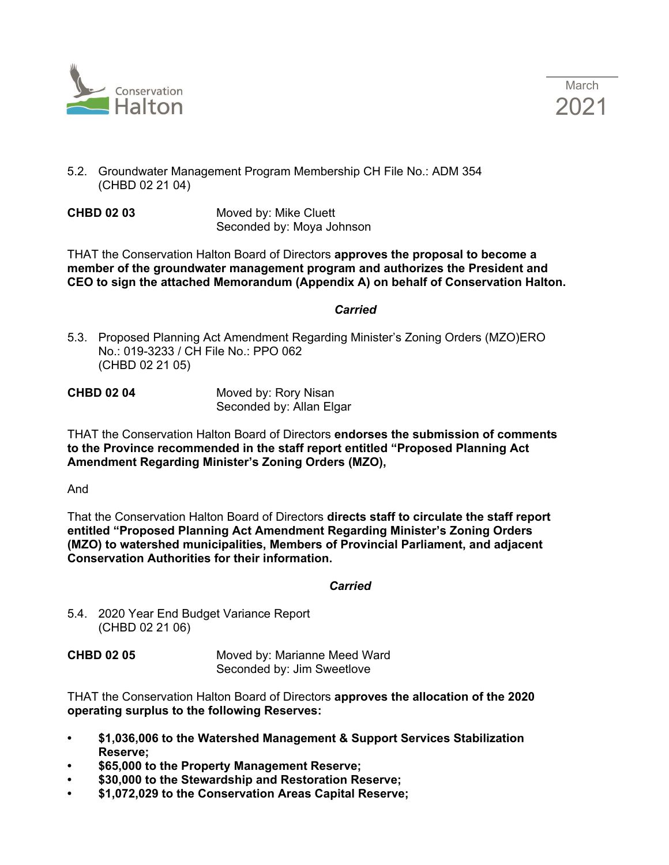



- 5.2. Groundwater Management Program Membership CH File No.: ADM 354 (CHBD 02 21 04)
- **CHBD 02 03** Moved by: Mike Cluett Seconded by: Moya Johnson

THAT the Conservation Halton Board of Directors **approves the proposal to become a member of the groundwater management program and authorizes the President and CEO to sign the attached Memorandum (Appendix A) on behalf of Conservation Halton.**

*Carried*

5.3. Proposed Planning Act Amendment Regarding Minister's Zoning Orders (MZO)ERO No.: 019-3233 / CH File No.: PPO 062 (CHBD 02 21 05)

**CHBD 02 04** Moved by: Rory Nisan Seconded by: Allan Elgar

THAT the Conservation Halton Board of Directors **endorses the submission of comments to the Province recommended in the staff report entitled "Proposed Planning Act Amendment Regarding Minister's Zoning Orders (MZO),** 

And

That the Conservation Halton Board of Directors **directs staff to circulate the staff report entitled "Proposed Planning Act Amendment Regarding Minister's Zoning Orders (MZO) to watershed municipalities, Members of Provincial Parliament, and adjacent Conservation Authorities for their information.**

*Carried Carried* 

5.4. 2020 Year End Budget Variance Report (CHBD 02 21 06)

**CHBD 02 05** Moved by: Marianne Meed Ward Seconded by: Jim Sweetlove

THAT the Conservation Halton Board of Directors **approves the allocation of the 2020 operating surplus to the following Reserves:**

- **• \$1,036,006 to the Watershed Management & Support Services Stabilization Reserve;**
- **• \$65,000 to the Property Management Reserve;**
- **• \$30,000 to the Stewardship and Restoration Reserve;**
- **• \$1,072,029 to the Conservation Areas Capital Reserve;**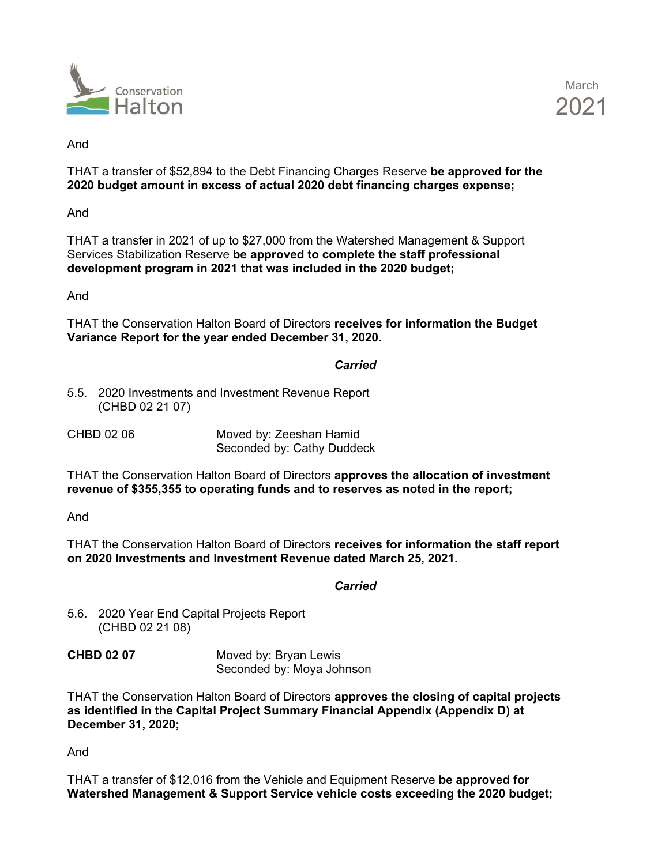



And

THAT a transfer of \$52,894 to the Debt Financing Charges Reserve **be approved for the 2020 budget amount in excess of actual 2020 debt financing charges expense;** 

And

THAT a transfer in 2021 of up to \$27,000 from the Watershed Management & Support Services Stabilization Reserve **be approved to complete the staff professional development program in 2021 that was included in the 2020 budget;** 

And

THAT the Conservation Halton Board of Directors **receives for information the Budget Variance Report for the year ended December 31, 2020.**

#### *Carried*

5.5. 2020 Investments and Investment Revenue Report (CHBD 02 21 07)

CHBD 02 06 Moved by: Zeeshan Hamid Seconded by: Cathy Duddeck

THAT the Conservation Halton Board of Directors **approves the allocation of investment revenue of \$355,355 to operating funds and to reserves as noted in the report;** 

And

THAT the Conservation Halton Board of Directors **receives for information the staff report on 2020 Investments and Investment Revenue dated March 25, 2021.**

## *Carried*

5.6. 2020 Year End Capital Projects Report (CHBD 02 21 08)

**CHBD 02 07** Moved by: Bryan Lewis Seconded by: Moya Johnson

THAT the Conservation Halton Board of Directors **approves the closing of capital projects as identified in the Capital Project Summary Financial Appendix (Appendix D) at December 31, 2020;** 

And

THAT a transfer of \$12,016 from the Vehicle and Equipment Reserve **be approved for Watershed Management & Support Service vehicle costs exceeding the 2020 budget;**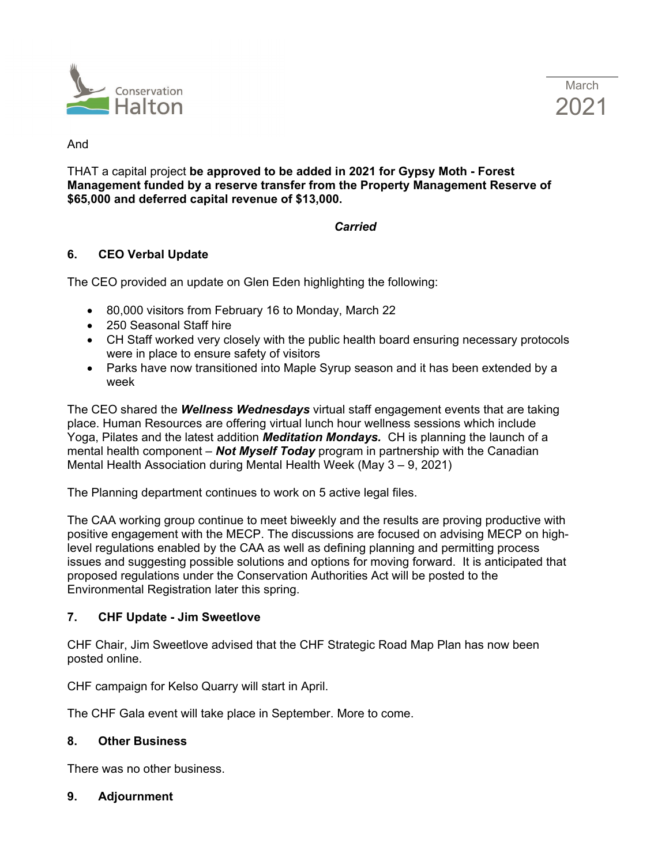



And

THAT a capital project **be approved to be added in 2021 for Gypsy Moth - Forest Management funded by a reserve transfer from the Property Management Reserve of \$65,000 and deferred capital revenue of \$13,000.**

# *Carried*

# **6. CEO Verbal Update**

The CEO provided an update on Glen Eden highlighting the following:

- 80,000 visitors from February 16 to Monday, March 22
- 250 Seasonal Staff hire
- CH Staff worked very closely with the public health board ensuring necessary protocols were in place to ensure safety of visitors
- Parks have now transitioned into Maple Syrup season and it has been extended by a week

The CEO shared the *Wellness Wednesdays* virtual staff engagement events that are taking place. Human Resources are offering virtual lunch hour wellness sessions which include Yoga, Pilates and the latest addition *Meditation Mondays.* CH is planning the launch of a mental health component – *Not Myself Today* program in partnership with the Canadian Mental Health Association during Mental Health Week (May 3 – 9, 2021)

The Planning department continues to work on 5 active legal files.

The CAA working group continue to meet biweekly and the results are proving productive with positive engagement with the MECP. The discussions are focused on advising MECP on highlevel regulations enabled by the CAA as well as defining planning and permitting process issues and suggesting possible solutions and options for moving forward. It is anticipated that proposed regulations under the Conservation Authorities Act will be posted to the Environmental Registration later this spring.

## **7. CHF Update - Jim Sweetlove**

CHF Chair, Jim Sweetlove advised that the CHF Strategic Road Map Plan has now been posted online.

CHF campaign for Kelso Quarry will start in April.

The CHF Gala event will take place in September. More to come.

## **8. Other Business**

There was no other business.

#### **9. Adjournment**